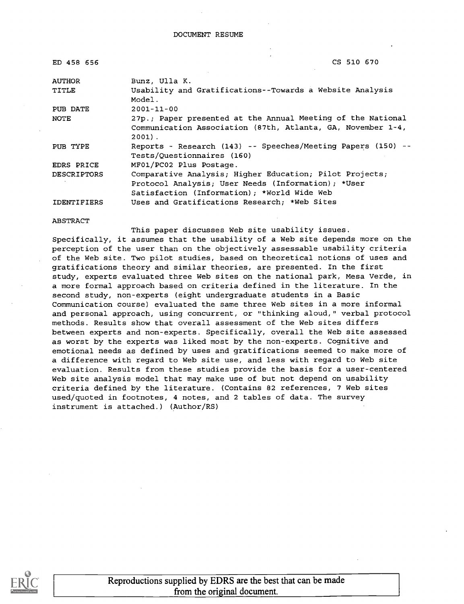| ED 458 656         | CS 510 670                                                                                                                             |
|--------------------|----------------------------------------------------------------------------------------------------------------------------------------|
| <b>AUTHOR</b>      | Bunz, Ulla K.                                                                                                                          |
| TITLE              | Usability and Gratifications--Towards a Website Analysis<br>Model.                                                                     |
| PUB DATE           | $2001 - 11 - 00$                                                                                                                       |
| NOTE               | 27p.; Paper presented at the Annual Meeting of the National<br>Communication Association (87th, Atlanta, GA, November 1-4,<br>$2001$ . |
| PUB TYPE           | Reports - Research (143) -- Speeches/Meeting Papers (150) --<br>Tests/Ouestionnaires (160)                                             |
| EDRS PRICE         | MF01/PC02 Plus Postage.                                                                                                                |
| DESCRIPTORS        | Comparative Analysis; Higher Education; Pilot Projects;                                                                                |
|                    | Protocol Analysis; User Needs (Information); *User                                                                                     |
|                    | Satisfaction (Information); *World Wide Web                                                                                            |
| <b>IDENTIFIERS</b> | Uses and Gratifications Research; *Web Sites                                                                                           |

#### ABSTRACT

This paper discusses Web site usability issues.

Specifically, it assumes that the usability of a Web site depends more on the perception of the user than on the objectively assessable usability criteria of the Web site. Two pilot studies, based on theoretical notions of uses and gratifications theory and similar theories, are presented. In the first study, experts evaluated three Web sites on the national park, Mesa Verde, in a more formal approach based on criteria defined in the literature. In the second study, non-experts (eight undergraduate students in a Basic Communication course) evaluated the same three Web sites in a more informal and personal approach, using concurrent, or "thinking aloud," verbal protocol methods. Results show that overall assessment of the Web sites differs between experts and non-experts. Specifically, overall the Web site assessed as worst by the experts was liked most by the non-experts. Cognitive and emotional needs as defined by uses and gratifications seemed to make more of a difference with regard to Web site use, and less with regard to Web site evaluation. Results from these studies provide the basis for a user-centered Web site analysis model that may make use of but not depend on usability criteria defined by the literature. (Contains 82 references, 7 Web sites used/quoted in footnotes, 4 notes, and 2 tables of data. The survey instrument is attached.) (Author/RS)



Reproductions supplied by EDRS are the best that can be made from the original document.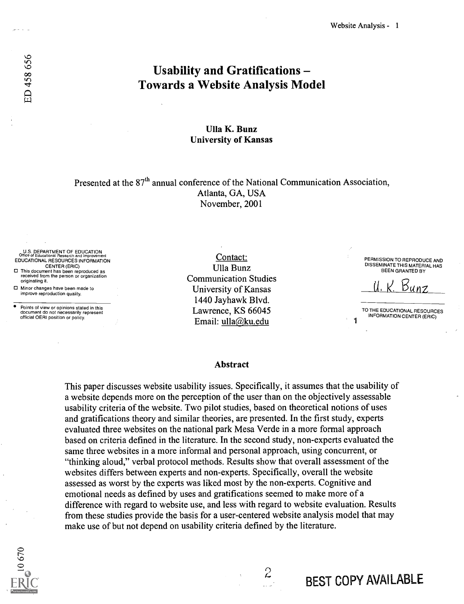# Usability and Gratifications Towards a Website Analysis Model

### Ulla K. Bunz University of Kansas

Presented at the 87<sup>th</sup> annual conference of the National Communication Association, Atlanta, GA, USA November, 2001

U.S. DEPARTMENT OF EDUCATION Office of Educational Research and Improvement EDUCATIONAL RESOURCES INFORMATION

CENTER (ERIC) 0 This document has been reproduced as received from the person or organization originating it.

0 Minor changes have been made to improve reproduction quality.

ED 458 656

Points of view or opinions stated in this document do not necessarily represent official OERI position or policy.

Contact: Ulla Bunz Communication Studies University of Kansas 1440 Jayhawk Blvd. Lawrence, KS 66045 Email: ulla@ku.edu

PERMISSION TO REPRODUCE AND DISSEMINATE THIS MATERIAL HAS BEEN GRANTED BY

U. W. Eunz

TO THE EDUCATIONAL RESOURCES INFORMATION CENTER (ERIC)

#### Abstract

This paper discusses website usability issues. Specifically, it assumes that the usability of a website depends more on the perception of the user than on the objectively assessable usability criteria of the website. Two pilot studies, based on theoretical notions of uses and gratifications theory and similar theories, are presented. In the first study, experts evaluated three websites on the national park Mesa Verde in a more formal approach based on criteria defined in the literature. In the second study, non-experts evaluated the same three websites in a more informal and personal approach, using concurrent, or "thinking aloud," verbal protocol methods. Results show that overall assessment of the websites differs between experts and non-experts. Specifically, overall the website assessed as worst by the experts was liked most by the non-experts. Cognitive and emotional needs as defined by uses and gratifications seemed to make more of a difference with regard to website use, and less with regard to website evaluation. Results from these studies provide the basis for a user-centered website analysis model that may make use of but not depend on usability criteria defined by the literature.



 $\mathcal{Z}$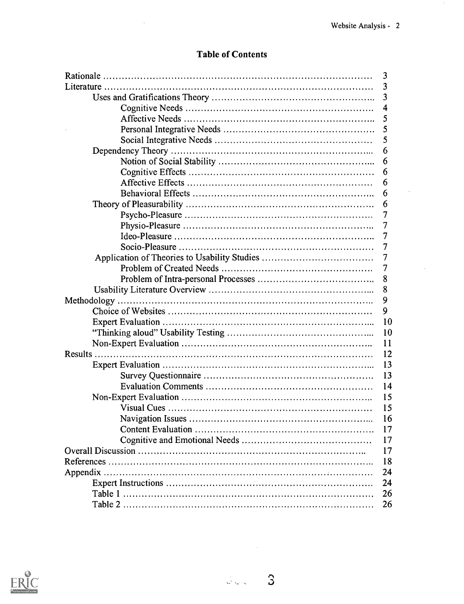$\star$ 

## Table of Contents

| 3              |
|----------------|
| 3              |
| 3              |
| 4              |
| 5              |
| 5              |
| 5              |
| 6              |
| 6              |
| 6              |
| 6              |
| 6              |
| 6              |
| 7              |
| 7              |
| 7              |
| 7              |
| $\overline{7}$ |
| $\overline{7}$ |
| 8              |
| 8              |
| 9              |
| 9              |
| 10             |
| 10             |
| 11             |
| 12             |
| 13             |
| 13             |
| 14             |
| 15             |
| 15             |
| 16             |
| 17             |
| 17             |
| 17             |
| 18             |
| 24             |
| 24             |
| 26             |
| 26             |



 $\hat{\boldsymbol{\beta}}$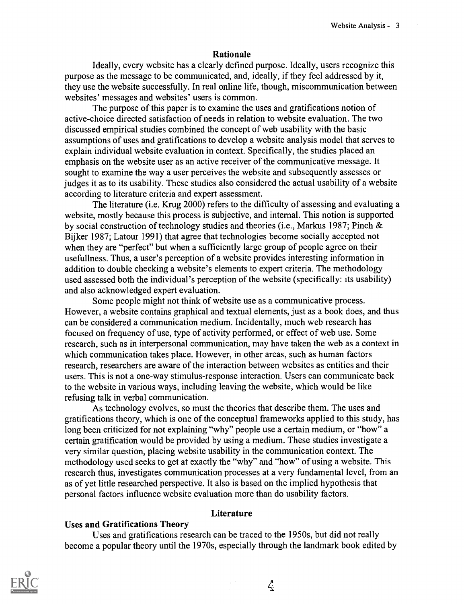#### Rationale

Ideally, every website has a clearly defined purpose. Ideally, users recognize this purpose as the message to be communicated, and, ideally, if they feel addressed by it, they use the website successfully. In real online life, though, miscommunication between websites' messages and websites' users is common.

The purpose of this paper is to examine the uses and gratifications notion of active-choice directed satisfaction of needs in relation to website evaluation. The two discussed empirical studies combined the concept of web usability with the basic assumptions of uses and gratifications to develop a website analysis model that serves to explain individual website evaluation in context. Specifically, the studies placed an emphasis on the website user as an active receiver of the communicative message. It sought to examine the way a user perceives the website and subsequently assesses or judges it as to its usability. These studies also considered the actual usability of a website according to literature criteria and expert assessment.

The literature (i.e. Krug 2000) refers to the difficulty of assessing and evaluating a website, mostly because this process is subjective, and internal. This notion is supported by social construction of technology studies and theories (i.e., Markus 1987; Pinch & Bijker 1987; Latour 1991) that agree that technologies become socially accepted not when they are "perfect" but when a sufficiently large group of people agree on their usefullness. Thus, a user's perception of a website provides interesting information in addition to double checking a website's elements to expert criteria. The methodology used assessed both the individual's perception of the website (specifically: its usability) and also acknowledged expert evaluation.

Some people might not think of website use as a communicative process. However, a website contains graphical and textual elements, just as a book does, and thus can be considered a communication medium. Incidentally, much web research has focused on frequency of use, type of activity performed, or effect of web use. Some research, such as in interpersonal communication, may have taken the web as a context in which communication takes place. However, in other areas, such as human factors research, researchers are aware of the interaction between websites as entities and their users. This is not a one-way stimulus-response interaction. Users can communicate back to the website in various ways, including leaving the website, which would be like refusing talk in verbal communication.

As technology evolves, so must the theories that describe them. The uses and gratifications theory, which is one of the conceptual frameworks applied to this study, has long been criticized for not explaining "why" people use a certain medium, or "how" a certain gratification would be provided by using a medium. These studies investigate a very similar question, placing website usability in the communication context. The methodology used seeks to get at exactly the "why" and "how" of using a website. This research thus, investigates communication processes at a very fundamental level, from an as of yet little researched perspective. It also is based on the implied hypothesis that personal factors influence website evaluation more than do usability factors.

#### **Literature**

### Uses and Gratifications Theory

Uses and gratifications research can be traced to the 1950s, but did not really become a popular theory until the 1970s, especially through the landmark book edited by

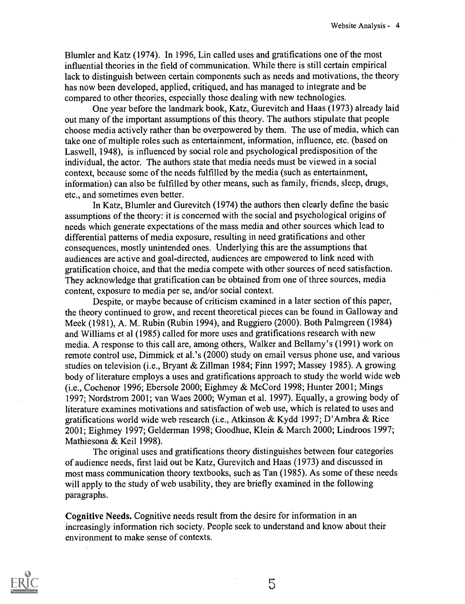Blum ler and Katz (1974). In 1996, Lin called uses and gratifications one of the most influential theories in the field of communication. While there is still certain empirical lack to distinguish between certain components such as needs and motivations, the theory has now been developed, applied, critiqued, and has managed to integrate and be compared to other theories, especially those dealing with new technologies.

One year before the landmark book, Katz, Gurevitch and Haas (1973) already laid out many of the important assumptions of this theory. The authors stipulate that people choose media actively rather than be overpowered by them. The use of media, which can take one of multiple roles such as entertainment, information, influence, etc. (based on Laswell, 1948), is influenced by social role and psychological predisposition of the individual, the actor. The authors state that media needs must be viewed in a social context, because some of the needs fulfilled by the media (such as entertainment, information) can also be fulfilled by other means, such as family, friends, sleep, drugs, etc., and sometimes even better.

In Katz, Blumler and Gurevitch (1974) the authors then clearly define the basic assumptions of the theory: it is concerned with the social and psychological origins of needs which generate expectations of the mass media and other sources which lead to differential patterns of media exposure, resulting in need gratifications and other consequences, mostly unintended ones. Underlying this are the assumptions that audiences are active and goal-directed, audiences are empowered to link need with gratification choice, and that the media compete with other sources of need satisfaction. They acknowledge that gratification can be obtained from one of three sources, media content, exposure to media per se, and/or social context.

Despite, or maybe because of criticism examined in a later section of this paper, the theory continued to grow, and recent theoretical pieces can be found in Galloway and Meek (1981), A. M. Rubin (Rubin 1994), and Ruggiero (2000). Both Palmgreen (1984) and Williams et al (1985) called for more uses and gratifications research with new media. A response to this call are, among others, Walker and Bellamy's (1991) work on remote control use, Dimmick et al.'s (2000) study on email versus phone use, and various studies on television (i.e., Bryant & Zillman 1984; Finn 1997; Massey 1985). A growing body of literature employs a uses and gratifications approach to study the world wide web (i.e., Cochenor 1996; Ebersole 2000; Eighmey & McCord 1998; Hunter 2001; Mings 1997; Nordstrom 2001; van Waes 2000; Wyman et al. 1997). Equally, a growing body of literature examines motivations and satisfaction of web use, which is related to uses and gratifications world wide web research (i.e., Atkinson & Kydd 1997; D'Ambra & Rice 2001; Eighmey 1997; Gelderman 1998; Goodhue, Klein & March 2000; Lindroos 1997; Mathiesona & Keil 1998).

The original uses and gratifications theory distinguishes between four categories of audience needs, first laid out be Katz, Gurevitch and Haas (1973) and discussed in most mass communication theory textbooks, such as Tan (1985). As some of these needs will apply to the study of web usability, they are briefly examined in the following paragraphs.

Cognitive Needs. Cognitive needs result from the desire for information in an increasingly information rich society. People seek to understand and know about their environment to make sense of contexts.



5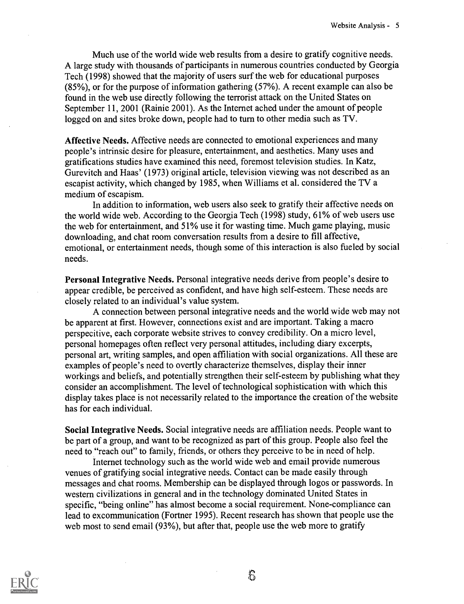Much use of the world wide web results from a desire to gratify cognitive needs. A large study with thousands of participants in numerous countries conducted by Georgia Tech (1998) showed that the majority of users surf the web for educational purposes (85%), or for the purpose of information gathering (57%). A recent example can also be found in the web use directly following the terrorist attack on the United States on September 11, 2001 (Rainie 2001). As the Internet ached under the amount of people logged on and sites broke down, people had to turn to other media such as TV.

Affective Needs. Affective needs are connected to emotional experiences and many people's intrinsic desire for pleasure, entertainment, and aesthetics. Many uses and gratifications studies have examined this need, foremost television studies. In Katz, Gurevitch and Haas' (1973) original article, television viewing was not described as an escapist activity, which changed by 1985, when Williams et al. considered the TV a medium of escapism.

In addition to information, web users also seek to gratify their affective needs on the world wide web. According to the Georgia Tech (1998) study, 61% of web users use the web for entertainment, and 51% use it for wasting time. Much game playing, music downloading, and chat room conversation results from a desire to fill affective, emotional, or entertainment needs, though some of this interaction is also fueled by social needs.

Personal Integrative Needs. Personal integrative needs derive from people's desire to appear credible, be perceived as confident, and have high self-esteem. These needs are closely related to an individual's value system.

A connection between personal integrative needs and the world wide web may not be apparent at first. However, connections exist and are important. Taking a macro perspecitive, each corporate website strives to convey credibility. On a micro level, personal homepages often reflect very personal attitudes, including diary excerpts, personal art, writing samples, and open affiliation with social organizations. All these are examples of people's need to overtly characterize themselves, display their inner workings and beliefs, and potentially strengthen their self-esteem by publishing what they consider an accomplishment. The level of technological sophistication with which this display takes place is not necessarily related to the importance the creation of the website has for each individual.

Social Integrative Needs. Social integrative needs are affiliation needs. People want to be part of a group, and want to be recognized as part of this group. People also feel the need to "reach out" to family, friends, or others they perceive to be in need of help.

Internet technology such as the world wide web and email provide numerous venues of gratifying social integrative needs. Contact can be made easily through messages and chat rooms. Membership can be displayed through logos or passwords. In western civilizations in general and in the technology dominated United States in specific, "being online" has almost become a social requirement. None-compliance can lead to excommunication (Fortner 1995). Recent research has shown that people use the web most to send email (93%), but after that, people use the web more to gratify

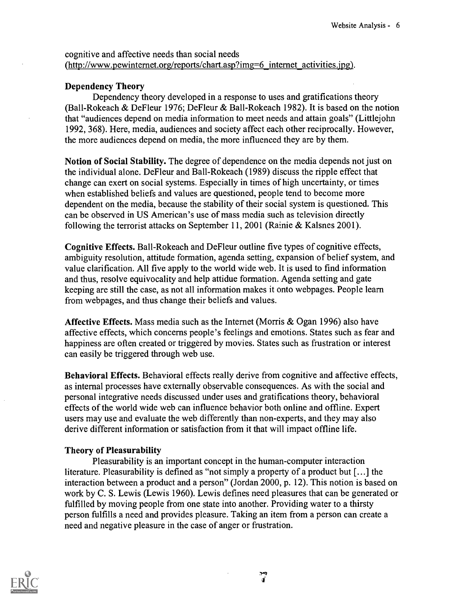cognitive and affective needs than social needs (http://www.pewinternet.org/reports/chart.asp?img=6:mternet\_activities.ipg).

### Dependency Theory

Dependency theory developed in a response to uses and gratifications theory (Ball-Rokeach & DeFleur 1976; DeFleur & Ball-Rokeach 1982). It is based on the notion that "audiences depend on media information to meet needs and attain goals" (Littlejohn 1992, 368). Here, media, audiences and society affect each other reciprocally. However, the more audiences depend on media, the more influenced they are by them.

Notion of Social Stability. The degree of dependence on the media depends not just on the individual alone. DeFleur and Ball-Rokeach (1989) discuss the ripple effect that change can exert on social systems. Especially in times of high uncertainty, or times when established beliefs and values are questioned, people tend to become more dependent on the media, because the stability of their social system is questioned. This can be observed in US American's use of mass media such as television directly following the terrorist attacks on September 11, 2001 (Rainie & Kalsnes 2001).

Cognitive Effects. Ball-Rokeach and DeFleur outline five types of cognitive effects, ambiguity resolution, attitude formation, agenda setting, expansion of belief system, and value clarification. All five apply to the world wide web. It is used to find information and thus, resolve equivocality and help attidue formation. Agenda setting and gate keeping are still the case, as not all information makes it onto webpages. People learn from webpages, and thus change their beliefs and values.

Affective Effects. Mass media such as the Internet (Morris & Ogan 1996) also have affective effects, which concerns people's feelings and emotions. States such as fear and happiness are often created or triggered by movies. States such as frustration or interest can easily be triggered through web use.

Behavioral Effects. Behavioral effects really derive from cognitive and affective effects, as internal processes have externally observable consequences. As with the social and personal integrative needs discussed under uses and gratifications theory, behavioral effects of the world wide web can influence behavior both online and offline. Expert users may use and evaluate the web differently than non-experts, and they may also derive different information or satisfaction from it that will impact offline life.

### Theory of Pleasurability

Pleasurability is an important concept in the human-computer interaction literature. Pleasurability is defined as "not simply a property of a product but [...] the interaction between a product and a person" (Jordan 2000, p. 12). This notion is based on work by C. S. Lewis (Lewis 1960). Lewis defines need pleasures that can be generated or fulfilled by moving people from one state into another. Providing water to a thirsty person fulfills a need and provides pleasure. Taking an item from a person can create a need and negative pleasure in the case of anger or frustration.



وب<br>آلا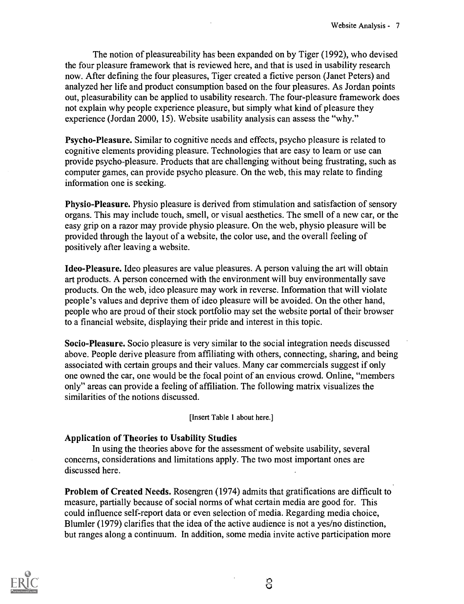The notion of pleasureability has been expanded on by Tiger (1992), who devised the four pleasure framework that is reviewed here, and that is used in usability research now. After defining the four pleasures, Tiger created a fictive person (Janet Peters) and analyzed her life and product consumption based on the four pleasures. As Jordan points out, pleasurability can be applied to usability research. The four-pleasure framework does not explain why people experience pleasure, but simply what kind of pleasure they experience (Jordan 2000, 15). Website usability analysis can assess the "why."

Psycho-Pleasure. Similar to cognitive needs and effects, psycho pleasure is related to cognitive elements providing pleasure. Technologies that are easy to learn or use can provide psycho-pleasure. Products that are challenging without being frustrating, such as computer games, can provide psycho pleasure. On the web, this may relate to finding information one is seeking.

Physio-Pleasure. Physio pleasure is derived from stimulation and satisfaction of sensory organs. This may include touch, smell, or visual aesthetics. The smell of a new car, or the easy grip on a razor may provide physio pleasure. On the web, physio pleasure will be provided through the layout of a website, the color use, and the overall feeling of positively after leaving a website.

Ideo-Pleasure. Ideo pleasures are value pleasures. A person valuing the art will obtain art products. A person concerned with the environment will buy environmentally save products. On the web, ideo pleasure may work in reverse. Information that will violate people's values and deprive them of ideo pleasure will be avoided. On the other hand, people who are proud of their stock portfolio may set the website portal of their browser to a financial website, displaying their pride and interest in this topic.

Socio-Pleasure. Socio pleasure is very similar to the social integration needs discussed above. People derive pleasure from affiliating with others, connecting, sharing, and being associated with certain groups and their values. Many car commercials suggest if only one owned the car, one would be the focal point of an envious crowd. Online, "members only" areas can provide a feeling of affiliation. The following matrix visualizes the similarities of the notions discussed.

[Insert Table 1 about here.]

### Application of Theories to Usability Studies

In using the theories above for the assessment of website usability, several concerns, considerations and limitations apply. The two most important ones are discussed here.

Problem of Created Needs. Rosengren (1974) admits that gratifications are difficult to measure, partially because of social norms of what certain media are good for. This could influence self-report data or even selection of media. Regarding media choice, Blumler (1979) clarifies that the idea of the active audience is not a yes/no distinction, but ranges along a continuum. In addition, some media invite active participation more



ි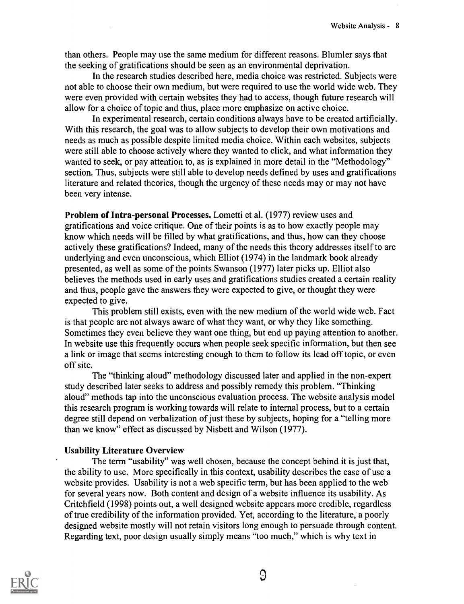than others. People may use the same medium for different reasons. Blum ler says that the seeking of gratifications should be seen as an environmental deprivation.

In the research studies described here, media choice was restricted. Subjects were not able to choose their own medium, but were required to use the world wide web. They were even provided with certain websites they had to access, though future research will allow for a choice of topic and thus, place more emphasize on active choice.

In experimental research, certain conditions always have to be created artificially. With this research, the goal was to allow subjects to develop their own motivations and needs as much as possible despite limited media choice. Within each websites, subjects were still able to choose actively where they wanted to click, and what information they wanted to seek, or pay attention to, as is explained in more detail in the "Methodology" section. Thus, subjects were still able to develop needs defined by uses and gratifications literature and related theories, though the urgency of these needs may or may not have been very intense.

Problem of Intra-personal Processes. Lometti et al. (1977) review uses and gratifications and voice critique. One of their points is as to how exactly people may know which needs will be filled by what gratifications, and thus, how can they choose actively these gratifications? Indeed, many of the needs this theory addresses itself to are underlying and even unconscious, which Elliot (1974) in the landmark book already presented, as well as some of the points Swanson (1977) later picks up. Elliot also believes the methods used in early uses and gratifications studies created a certain reality and thus, people gave the answers they were expected to give, or thought they were expected to give.

This problem still exists, even with the new medium of the world wide web. Fact is that people are not always aware of what they want, or why they like something. Sometimes they even believe they want one thing, but end up paying attention to another. In website use this frequently occurs when people seek specific information, but then see a link or image that seems interesting enough to them to follow its lead off topic, or even off site.

The "thinking aloud" methodology discussed later and applied in the non-expert study described later seeks to address and possibly remedy this problem. "Thinking aloud" methods tap into the unconscious evaluation process. The website analysis model this research program is working towards will relate to internal process, but to a certain degree still depend on verbalization of just these by subjects, hoping for a "telling more than we know" effect as discussed by Nisbett and Wilson (1977).

### Usability Literature Overview

The term "usability" was well chosen, because the concept behind it is just that, the ability to use. More specifically in this context, usability describes the ease of use a website provides. Usability is not a web specific term, but has been applied to the web for several years now. Both content and design of a website influence its usability. As Critchfield (1998) points out, a well designed website appears more credible, regardless of true credibility of the information provided. Yet, according to the literature, a poorly designed website mostly will not retain visitors long enough to persuade through content. Regarding text, poor design usually simply means "too much," which is why text in



9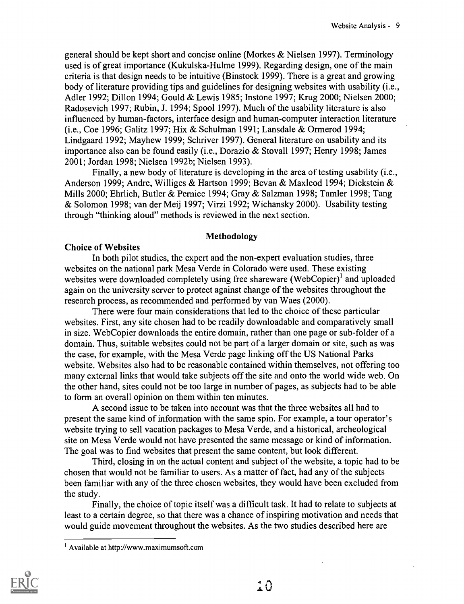general should be kept short and concise online (Morkes & Nielsen 1997). Terminology used is of great importance (Kukulska-Hulme 1999). Regarding design, one of the main criteria is that design needs to be intuitive (Binstock 1999). There is a great and growing body of literature providing tips and guidelines for designing websites with usability (i.e., Adler 1992; Dillon 1994; Gould & Lewis 1985; Instone 1997; Krug 2000; Nielsen 2000; Radosevich 1997; Rubin, J. 1994; Spool 1997). Much of the usability literature is also influenced by human-factors, interface design and human-computer interaction literature (i.e., Coe 1996; Galitz 1997; Hix & Schulman 1991; Lansdale & Ormerod 1994; Lindgaard 1992; Mayhew 1999; Schriver 1997). General literature on usability and its importance also can be found easily (i.e., Dorazio & Stovall 1997; Henry 1998; James 2001; Jordan 1998; Nielsen 1992b; Nielsen 1993).

Finally, a new body of literature is developing in the area of testing usability (i.e., Anderson 1999; Andre, Williges & Hartson 1999; Bevan & Maxleod 1994; Dickstein & Mills 2000; Ehrlich, Butler & Pernice 1994; Gray & Salzman 1998; Tamler 1998; Tang & Solomon 1998; van der Meij 1997; Virzi 1992; Wichansky 2000). Usability testing through "thinking aloud" methods is reviewed in the next section.

### Methodology

### Choice of Websites

In both pilot studies, the expert and the non-expert evaluation studies, three websites on the national park Mesa Verde in Colorado were used. These existing websites were downloaded completely using free shareware (WebCopier)<sup>1</sup> and uploaded again on the university server to protect against change of the websites throughout the research process, as recommended and performed by van Waes (2000).

There were four main considerations that led to the choice of these particular websites. First, any site chosen had to be readily downloadable and comparatively small in size. WebCopier downloads the entire domain, rather than one page or sub-folder of a domain. Thus, suitable websites could not be part of a larger domain or site, such as was the case, for example, with the Mesa Verde page linking off the US National Parks website. Websites also had to be reasonable contained within themselves, not offering too many external links that would take subjects off the site and onto the world wide web. On the other hand, sites could not be too large in number of pages, as subjects had to be able to form an overall opinion on them within ten minutes.

A second issue to be taken into account was that the three websites all had to present the same kind of information with the same spin. For example, a tour operator's website trying to sell vacation packages to Mesa Verde, and a historical, archeological site on Mesa Verde would not have presented the same message or kind of information. The goal was to find websites that present the same content, but look different.

Third, closing in on the actual content and subject of the website, a topic had to be chosen that would not be familiar to users. As a matter of fact, had any of the subjects been familiar with any of the three chosen websites, they would have been excluded from the study.

Finally, the choice of topic itself was a difficult task. It had to relate to subjects at least to a certain degree, so that there was a chance of inspiring motivation and needs that would guide movement throughout the websites. As the two studies described here are

<sup>&</sup>lt;sup>1</sup> Available at http://www.maximumsoft.com

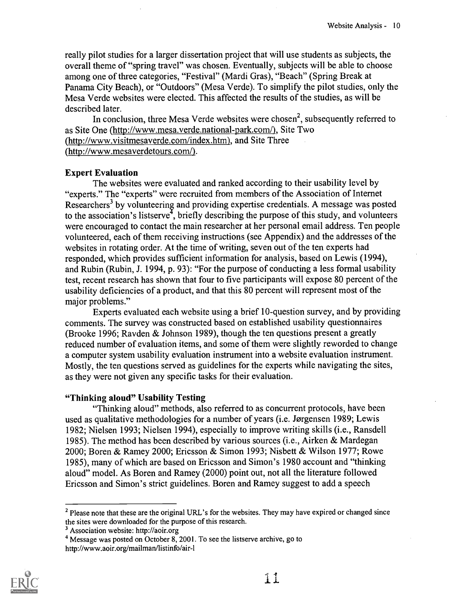really pilot studies for a larger dissertation project that will use students as subjects, the overall theme of "spring travel" was chosen. Eventually, subjects will be able to choose among one of three categories, "Festival" (Mardi Gras), "Beach" (Spring Break at Panama City Beach), or "Outdoors" (Mesa Verde). To simplify the pilot studies, only the Mesa Verde websites were elected. This affected the results of the studies, as will be described later.

In conclusion, three Mesa Verde websites were chosen<sup>2</sup>, subsequently referred to as Site One (http://www.mesa.verde.national-park.com/), Site Two (http://www.visitmesaverde.com/index.htm), and Site Three (http://www.mesaverdetours.com/).

### Expert Evaluation

The websites were evaluated and ranked according to their usability level by "experts." The "experts" were recruited from members of the Association of Internet Researchers<sup>3</sup> by volunteering and providing expertise credentials. A message was posted to the association's listserve<sup> $\bar{t}$ </sup>, briefly describing the purpose of this study, and volunteers were encouraged to contact the main researcher at her personal email address. Ten people volunteered, each of them receiving instructions (see Appendix) and the addresses of the websites in rotating order. At the time of writing, seven out of the ten experts had responded, which provides sufficient information for analysis, based on Lewis (1994), and Rubin (Rubin, J. 1994, p. 93): "For the purpose of conducting a less formal usability test, recent research has shown that four to five participants will expose 80 percent of the usability deficiencies of a product, and that this 80 percent will represent most of the major problems."

Experts evaluated each website using a brief 10-question survey, and by providing comments. The survey was constructed based on established usability questionnaires (Brooke 1996; Ravden & Johnson 1989), though the ten questions present a greatly reduced number of evaluation items, and some of them were slightly reworded to change a computer system usability evaluation instrument into a website evaluation instrument. Mostly, the ten questions served as guidelines for the experts while navigating the sites, as they were not given any specific tasks for their evaluation.

#### "Thinking aloud" Usability Testing

"Thinking aloud" methods, also referred to as concurrent protocols, have been used as qualitative methodologies for a number of years (i.e. Jørgensen 1989; Lewis 1982; Nielsen 1993; Nielsen 1994), especially to improve writing skills (i.e., Ransdell 1985). The method has been described by various sources (i.e., Airken & Mardegan 2000; Boren & Ramey 2000; Ericsson & Simon 1993; Nisbett & Wilson 1977; Rowe 1985), many of which are based on Ericsson and Simon's 1980 account and "thinking aloud" model. As Boren and Ramey (2000) point out, not all the literature followed Ericsson and Simon's strict guidelines. Boren and Ramey suggest to add a speech

<sup>&</sup>lt;sup>4</sup> Message was posted on October 8, 2001. To see the listserve archive, go to http://www.aoir.org/mailman/listinfo/air-1



<sup>&</sup>lt;sup>2</sup> Please note that these are the original URL's for the websites. They may have expired or changed since the sites were downloaded for the purpose of this research.

<sup>3</sup> Association website: http://aoir.org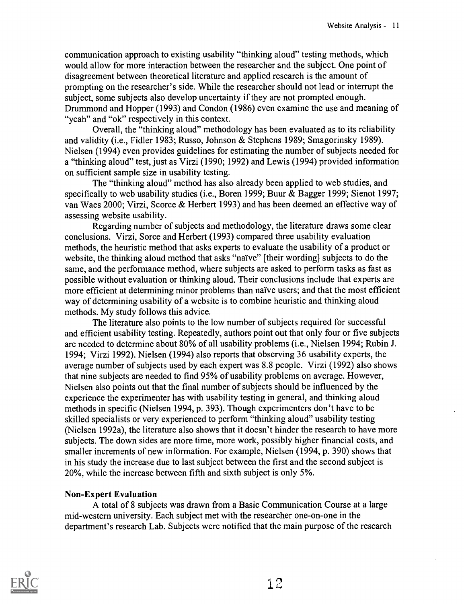communication approach to existing usability "thinking aloud" testing methods, which would allow for more interaction between the researcher and the subject. One point of disagreement between theoretical literature and applied research is the amount of prompting on the researcher's side. While the researcher should not lead or interrupt the subject, some subjects also develop uncertainty if they are not prompted enough. Drummond and Hopper (1993) and Condon (1986) even examine the use and meaning of "yeah" and "ok" respectively in this context.

Overall, the "thinking aloud" methodology has been evaluated as to its reliability and validity (i.e., Fidler 1983; Russo, Johnson & Stephens 1989; Smagorinsky 1989). Nielsen (1994) even provides guidelines for estimating the number of subjects needed for a "thinking aloud" test, just as Virzi (1990; 1992) and Lewis (1994) provided information on sufficient sample size in usability testing.

The "thinking aloud" method has also already been applied to web studies, and specifically to web usability studies (i.e., Boren 1999; Buur & Bagger 1999; Sienot 1997; van Waes 2000; Virzi, Scorce & Herbert 1993) and has been deemed an effective way of assessing website usability.

Regarding number of subjects and methodology, the literature draws some clear conclusions. Virzi, Sorce and Herbert (1993) compared three usability evaluation methods, the heuristic method that asks experts to evaluate the usability of a product or website, the thinking aloud method that asks "naïve" [their wording] subjects to do the same, and the performance method, where subjects are asked to perform tasks as fast as possible without evaluation or thinking aloud. Their conclusions include that experts are more efficient at determining minor problems than naïve users; and that the most efficient way of determining usability of a website is to combine heuristic and thinking aloud methods. My study follows this advice.

The literature also points to the low number of subjects required for successful and efficient usability testing. Repeatedly, authors point out that only four or five subjects are needed to determine about 80% of all usability problems (i.e., Nielsen 1994; Rubin J. 1994; Virzi 1992). Nielsen (1994) also reports that observing 36 usability experts, the average number of subjects used by each expert was 8.8 people. Virzi (1992) also shows that nine subjects are needed to find 95% of usability problems on average. However, Nielsen also points out that the final number of subjects should be influenced by the experience the experimenter has with usability testing in general, and thinking aloud methods in specific (Nielsen 1994, p. 393). Though experimenters don't have to be skilled specialists or very experienced to perform "thinking aloud" usability testing (Nielsen 1992a), the literature also shows that it doesn't hinder the research to have more subjects. The down sides are more time, more work, possibly higher financial costs, and smaller increments of new information. For example, Nielsen (1994, p. 390) shows that in his study the increase due to last subject between the first and the second subject is 20%, while the increase between fifth and sixth subject is only 5%.

### Non-Expert Evaluation

A total of 8 subjects was drawn from a Basic Communication Course at a large mid-western university. Each subject met with the researcher one-on-one in the department's research Lab. Subjects were notified that the main purpose of the research

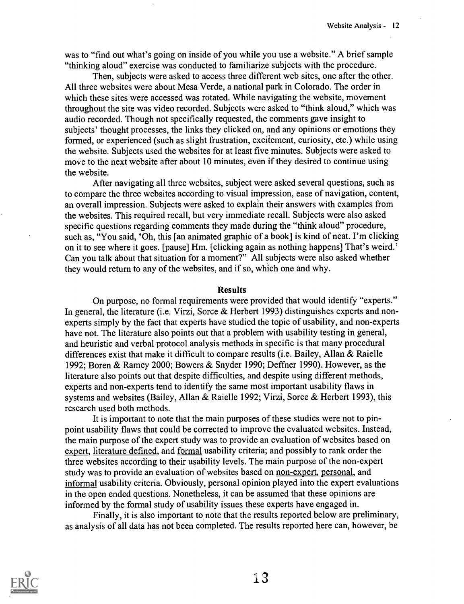was to "find out what's going on inside of you while you use a website." A brief sample "thinking aloud" exercise was conducted to familiarize subjects with the procedure.

Then, subjects were asked to access three different web sites, one after the other. All three websites were about Mesa Verde, a national park in Colorado. The order in which these sites were accessed was rotated. While navigating the website, movement throughout the site was video recorded. Subjects were asked to "think aloud," which was audio recorded. Though not specifically requested, the comments gave insight to subjects' thought processes, the links they clicked on, and any opinions or emotions they formed, or experienced (such as slight frustration, excitement, curiosity, etc.) while using the website. Subjects used the websites for at least five minutes. Subjects were asked to move to the next website after about 10 minutes, even if they desired to continue using the website.

After navigating all three websites, subject were asked several questions, such as to compare the three websites according to visual impression, ease of navigation, content, an overall impression. Subjects were asked to explain their answers with examples from the websites. This required recall, but very immediate recall. Subjects were also asked specific questions regarding comments they made during the "think aloud" procedure, such as, "You said, 'Oh, this [an animated graphic of a book] is kind of neat. I'm clicking on it to see where it goes. [pause] Hm. [clicking again as nothing happens] That's weird.' Can you talk about that situation for a moment?" All subjects were also asked whether they would return to any of the websites, and if so, which one and why.

#### Results

On purpose, no formal requirements were provided that would identify "experts." In general, the literature (i.e. Virzi, Sorce & Herbert 1993) distinguishes experts and nonexperts simply by the fact that experts have studied the topic of usability, and non-experts have not. The literature also points out that a problem with usability testing in general, and heuristic and verbal protocol analysis methods in specific is that many procedural differences exist that make it difficult to compare results (i.e. Bailey, Allan & Raielle 1992; Boren & Ramey 2000; Bowers & Snyder 1990; Deffner 1990). However, as the literature also points out that despite difficulties, and despite using different methods, experts and non-experts tend to identify the same most important usability flaws in systems and websites (Bailey, Allan & Raielle 1992; Virzi, Sorce & Herbert 1993), this research used both methods.

It is important to note that the main purposes of these studies were not to pinpoint usability flaws that could be corrected to improve the evaluated websites. Instead, the main purpose of the expert study was to provide an evaluation of websites based on expert, literature defined, and formal usability criteria; and possibly to rank order the three websites according to their usability levels. The main purpose of the non-expert study was to provide an evaluation of websites based on non-expert, personal, and informal usability criteria. Obviously, personal opinion played into the expert evaluations in the open ended questions. Nonetheless, it can be assumed that these opinions are informed by the formal study of usability issues these experts have engaged in.

Finally, it is also important to note that the results reported below are preliminary, as analysis of all data has not been completed. The results reported here can, however, be



 $13$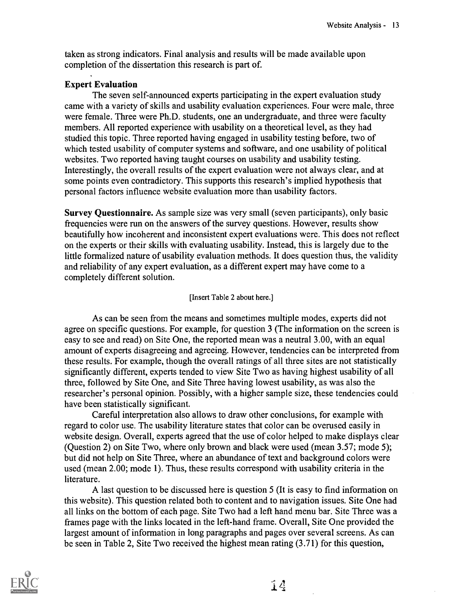taken as strong indicators. Final analysis and results will be made available upon completion of the dissertation this research is part of.

### Expert Evaluation

The seven self-announced experts participating in the expert evaluation study came with a variety of skills and usability evaluation experiences. Four were male, three were female. Three were Ph.D. students, one an undergraduate, and three were faculty members. All reported experience with usability on a theoretical level, as they had studied this topic. Three reported having engaged in usability testing before, two of which tested usability of computer systems and software, and one usability of political websites. Two reported having taught courses on usability and usability testing. Interestingly, the overall results of the expert evaluation were not always clear, and at some points even contradictory. This supports this research's implied hypothesis that personal factors influence website evaluation more than usability factors.

Survey Questionnaire. As sample size was very small (seven participants), only basic frequencies were run on the answers of the survey questions. However, results show beautifully how incoherent and inconsistent expert evaluations were. This does not reflect on the experts or their skills with evaluating usability. Instead, this is largely due to the little formalized nature of usability evaluation methods. It does question thus, the validity and reliability of any expert evaluation, as a different expert may have come to a completely different solution.

### [Insert Table 2 about here.]

As can be seen from the means and sometimes multiple modes, experts did not agree on specific questions. For example, for question 3 (The information on the screen is easy to see and read) on Site One, the reported mean was a neutral 3.00, with an equal amount of experts disagreeing and agreeing. However, tendencies can be interpreted from these results. For example, though the overall ratings of all three sites are not statistically significantly different, experts tended to view Site Two as having highest usability of all three, followed by Site One, and Site Three having lowest usability, as was also the researcher's personal opinion. Possibly, with a higher sample size, these tendencies could have been statistically significant.

Careful interpretation also allows to draw other conclusions, for example with regard to color use. The usability literature states that color can be overused easily in website design. Overall, experts agreed that the use of color helped to make displays clear (Question 2) on Site Two, where only brown and black were used (mean 3.57; mode 5); but did not help on Site Three, where an abundance of text and background colors were used (mean 2.00; mode 1). Thus, these results correspond with usability criteria in the literature.

A last question to be discussed here is question 5 (It is easy to find information on this website). This question related both to content and to navigation issues. Site One had all links on the bottom of each page. Site Two had a left hand menu bar. Site Three was a frames page with the links located in the left-hand frame. Overall, Site One provided the largest amount of information in long paragraphs and pages over several screens. As can be seen in Table 2, Site Two received the highest mean rating (3.71) for this question,

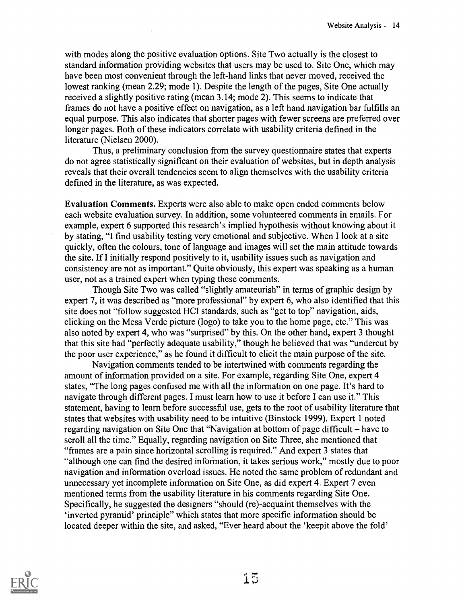with modes along the positive evaluation options. Site Two actually is the closest to standard information providing websites that users may be used to. Site One, which may have been most convenient through the left-hand links that never moved, received the lowest ranking (mean 2.29; mode 1). Despite the length of the pages, Site One actually received a slightly positive rating (mean 3.14; mode 2). This seems to indicate that frames do not have a positive effect on navigation, as a left hand navigation bar fulfills an equal purpose. This also indicates that shorter pages with fewer screens are preferred over longer pages. Both of these indicators correlate with usability criteria defined in the literature (Nielsen 2000).

Thus, a preliminary conclusion from the survey questionnaire states that experts do not agree statistically significant on their evaluation of websites, but in depth analysis reveals that their overall tendencies seem to align themselves with the usability criteria defined in the literature, as was expected.

Evaluation Comments. Experts were also able to make open ended comments below each website evaluation survey. In addition, some volunteered comments in emails. For example, expert 6 supported this research's implied hypothesis without knowing about it by stating, "I find usability testing very emotional and subjective. When I look at a site quickly, often the colours, tone of language and images will set the main attitude towards the site. If I initially respond positively to it, usability issues such as navigation and consistency are not as important." Quite obviously, this expert was speaking as a human user, not as a trained expert when typing these comments.

Though Site Two was called "slightly amateurish" in terms of graphic design by expert 7, it was described as "more professional" by expert 6, who also identified that this site does not "follow suggested HCI standards, such as "get to top" navigation, aids, clicking on the Mesa Verde picture (logo) to take you to the home page, etc." This was also noted by expert 4, who was "surprised" by this. On the other hand, expert 3 thought that this site had "perfectly adequate usability," though he believed that was "undercut by the poor user experience," as he found it difficult to elicit the main purpose of the site.

Navigation comments tended to be intertwined with comments regarding the amount of information provided on a site. For example, regarding Site One, expert 4 states, "The long pages confused me with all the information on one page. It's hard to navigate through different pages. I must learn how to use it before I can use it." This statement, having to learn before successful use, gets to the root of usability literature that states that websites with usability need to be intuitive (Binstock 1999). Expert 1 noted regarding navigation on Site One that "Navigation at bottom of page difficult – have to scroll all the time." Equally, regarding navigation on Site Three, she mentioned that "frames are a pain since horizontal scrolling is required." And expert 3 states that "although one can find the desired information, it takes serious work," mostly due to poor navigation and information overload issues. He noted the same problem of redundant and unnecessary yet incomplete information on Site One, as did expert 4. Expert 7 even mentioned terms from the usability literature in his comments regarding Site One. Specifically, he suggested the designers "should (re)-acquaint themselves with the 'inverted pyramid' principle" which states that more specific information should be located deeper within the site, and asked, "Ever heard about the 'keepit above the fold'

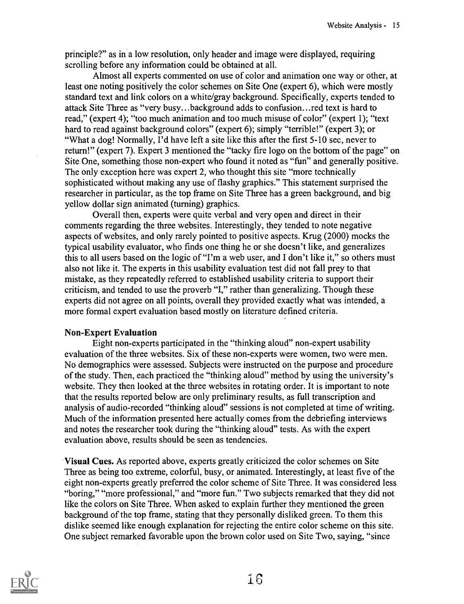principle?" as in a low resolution, only header and image were displayed, requiring scrolling before any information could be obtained at all.

Almost all experts commented on use of color and animation one way or other, at least one noting positively the color schemes on Site One (expert 6), which were mostly standard text and link colors on a white/gray background. Specifically, experts tended to attack Site Three as "very busy...background adds to confusion...red text is hard to read," (expert 4); "too much animation and too much misuse of color" (expert 1); "text hard to read against background colors" (expert 6); simply "terrible!" (expert 3); or "What a dog! Normally, I'd have left a site like this after the first 5-10 sec, never to return!" (expert 7). Expert 3 mentioned the "tacky fire logo on the bottom of the page" on Site One, something those non-expert who found it noted as "fun" and generally positive. The only exception here was expert 2, who thought this site "more technically sophisticated without making any use of flashy graphics." This statement surprised the researcher in particular, as the top frame on Site Three has a green background, and big yellow dollar sign animated (turning) graphics.

Overall then, experts were quite verbal and very open and direct in their comments regarding the three websites. Interestingly, they tended to note negative aspects of websites, and only rarely pointed to positive aspects. Krug (2000) mocks the typical usability evaluator, who finds one thing he or she doesn't like, and generalizes this to all users based on the logic of "I'm a web user, and I don't like it," so others must also not like it. The experts in this usability evaluation test did not fall prey to that mistake, as they repeatedly referred to established usability criteria to support their criticism, and tended to use the proverb "I," rather than generalizing. Though these experts did not agree on all points, overall they provided exactly what was intended, a more formal expert evaluation based mostly on literature defined criteria.

### Non-Expert Evaluation

Eight non-experts participated in the "thinking aloud" non-expert usability evaluation of the three websites. Six of these non-experts were women, two were men. No demographics were assessed. Subjects were instructed on the purpose and procedure of the study. Then, each practiced the "thinking aloud" method by using the university's website. They then looked at the three websites in rotating order. It is important to note that the results reported below are only preliminary results, as full transcription and analysis of audio-recorded "thinking aloud" sessions is not completed at time of writing. Much of the information presented here actually comes from the debriefing interviews and notes the researcher took during the "thinking aloud" tests. As with the expert evaluation above, results should be seen as tendencies.

Visual Cues. As reported above, experts greatly criticized the color schemes on Site Three as being too extreme, colorful, busy, or animated. Interestingly, at least five of the eight non-experts greatly preferred the color scheme of Site Three. It was considered less "boring," "more professional," and "more fun." Two subjects remarked that they did not like the colors on Site Three. When asked to explain further they mentioned the green background of the top frame, stating that they personally disliked green. To them this dislike seemed like enough explanation for rejecting the entire color scheme on this site. One subject remarked favorable upon the brown color used on Site Two, saying, "since

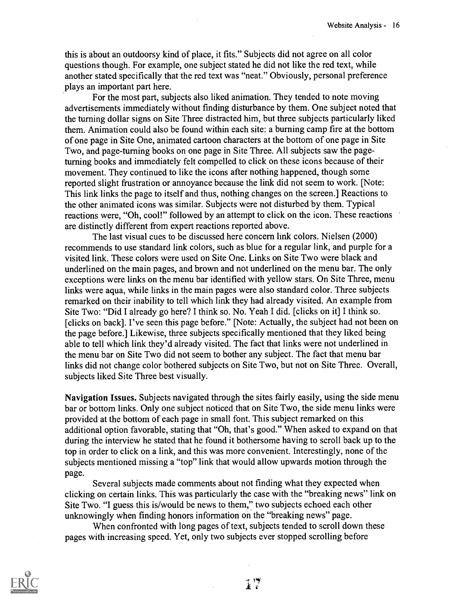this is about an outdoorsy kind of place, it fits." Subjects did not agree on all color questions though. For example, one subject stated he did not like the red text, while another stated specifically that the red text was "neat." Obviously, personal preference plays an important part here.

For the most part, subjects also liked animation. They tended to note moving advertisements immediately without finding disturbance by them. One subject noted that the turning dollar signs on Site Three distracted him, but three subjects particularly liked them. Animation could also be found within each site: a burning camp fire at the bottom of one page in Site One, animated cartoon characters at the bottom of one page in Site Two, and page-turning books on one page in Site Three. All subjects saw the pageturning books and immediately felt compelled to click on these icons because of their movement. They continued to like the icons after nothing happened, though some reported slight frustration or annoyance because the link did not seem to work. [Note: This link links the page to itself and thus, nothing changes on the screen.] Reactions to the other animated icons was similar. Subjects were not disturbed by them. Typical reactions were, "Oh, cool!" followed by an attempt to click on the icon. These reactions are distinctly different from expert reactions reported above.

The last visual cues to be discussed here concern link colors. Nielsen (2000) recommends to use standard link colors, such as blue for a regular link, and purple for a visited link. These colors were used on Site One. Links on Site Two were black and underlined on the main pages, and brown and not underlined on the menu bar. The only exceptions were links on the menu bar identified with yellow stars. On Site Three, menu links were aqua, while links in the main pages were also standard color. Three subjects remarked on their inability to tell which link they had already visited. An example from Site Two: "Did I already go here? I think so. No. Yeah I did. [clicks on it] I think so. [clicks on back]. I've seen this page before." [Note: Actually, the subject had not been on the page before.] Likewise, three subjects specifically mentioned that they liked being able to tell which link they'd already visited. The fact that links were not underlined in the menu bar on Site Two did not seem to bother any subject. The fact that menu bar links did not change color bothered subjects on Site Two, but not on Site Three. Overall, subjects liked Site Three best visually.

Navigation Issues. Subjects navigated through the sites fairly easily, using the side menu bar or bottom links. Only one subject noticed that on Site Two, the side menu links were provided at the bottom of each page in small font. This subject remarked on this additional option favorable, stating that "Oh, that's good." When asked to expand on that during the interview he stated that he found it bothersome having to scroll back up to the top in order to click on a link, and this was more convenient. Interestingly, none of the subjects mentioned missing a "top" link that would allow upwards motion through the page.

Several subjects made comments about not finding what they expected when clicking on certain links. This was particularly the case with the "breaking news" link on Site Two. "I guess this is/would be news to them," two subjects echoed each other unknowingly when finding honors information on the "breaking news" page.

When confronted with long pages of text, subjects tended to scroll down these pages with increasing speed. Yet, only two subjects ever stopped scrolling before

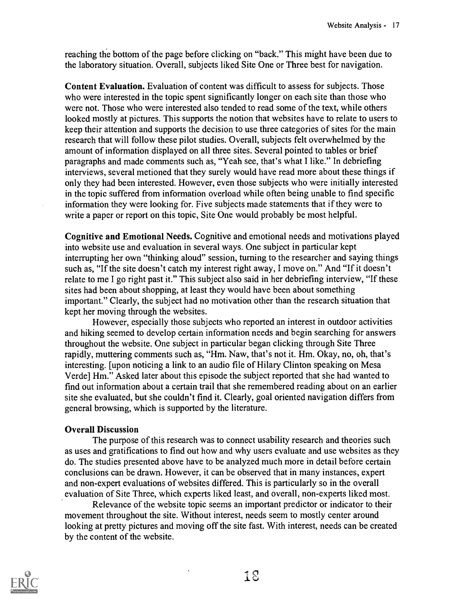reaching the bottom of the page before clicking on "back." This might have been due to the laboratory situation. Overall, subjects liked Site One or Three best for navigation.

Content Evaluation. Evaluation of content was difficult to assess for subjects. Those who were interested in the topic spent significantly longer on each site than those who were not. Those who were interested also tended to read some of the text, while others looked mostly at pictures. This supports the notion that websites have to relate to users to keep their attention and supports the decision to use three categories of sites for the main research that will follow these pilot studies. Overall, subjects felt overwhelmed by the amount of information displayed on all three sites. Several pointed to tables or brief paragraphs and made comments such as, "Yeah see, that's what I like." In debriefing interviews, several metioned that they surely would have read more about these things if only they had been interested. However, even those subjects who were initially interested in the topic suffered from information overload while often being unable to find specific information they were looking for. Five subjects made statements that if they were to write a paper or report on this topic, Site One would probably be most helpful.

Cognitive and Emotional Needs. Cognitive and emotional needs and motivations played into website use and evaluation in several ways. One subject in particular kept interrupting her own "thinking aloud" session, turning to the researcher and saying things such as, "If the site doesn't catch my interest right away, I move on." And "If it doesn't relate to me I go right past it." This subject also said in her debriefing interview, "If these sites had been about shopping, at least they would have been about something important." Clearly, the subject had no motivation other than the research situation that kept her moving through the websites.

However, especially those subjects who reported an interest in outdoor activities and hiking seemed to develop certain information needs and begin searching for answers throughout the website. One subject in particular began clicking through Site Three rapidly, muttering comments such as, "Hm. Naw, that's not it. Hm. Okay, no, oh, that's interesting. [upon noticing a link to an audio file of Hilary Clinton speaking on Mesa Verde] Hm." Asked later about this episode the subject reported that she had wanted to find out information about a certain trail that she remembered reading about on an earlier site she evaluated, but she couldn't find it. Clearly, goal oriented navigation differs from general browsing, which is supported by the literature.

### Overall Discussion

The purpose of this research was to connect usability research and theories such as uses and gratifications to find out how and why users evaluate and use websites as they do. The studies presented above have to be analyzed much more in detail before certain conclusions can be drawn. However, it can be observed that in many instances, expert and non-expert evaluations of websites differed. This is particularly so in the overall evaluation of Site Three, which experts liked least, and overall, non-experts liked most.

Relevance of the website topic seems an important predictor or indicator to their movement throughout the site. Without interest, needs seem to mostly center around looking at pretty pictures and moving off the site fast. With interest, needs can be created by the content of the website.

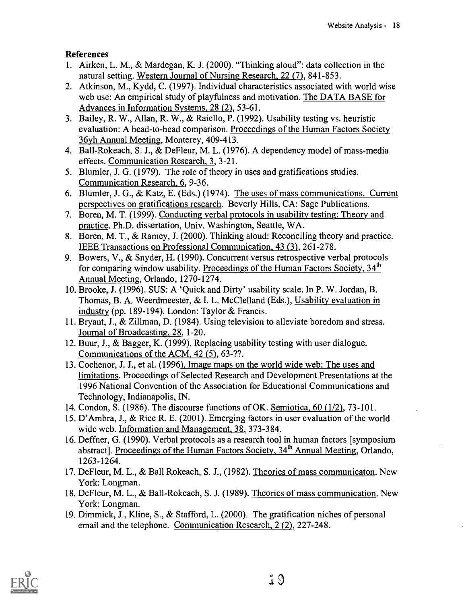### References

- 1. Airken, L. M., & Mardegan, K. J. (2000). "Thinking aloud": data collection in the natural setting. Western Journal of Nursing Research, 22 (7), 841-853.
- 2. Atkinson, M., Kydd, C. (1997). Individual characteristics associated with world wise web use: An empirical study of playfulness and motivation. The DATA BASE for Advances in Information Systems, 28 (2), 53-61.
- 3. Bailey, R. W., Allan, R. W., & Raiello, P. (1992). Usability testing vs. heuristic evaluation: A head-to-head comparison. Proceedings of the Human Factors Society 36yh Annual Meeting, Monterey, 409-413.
- 4. Ball-Rokeach, S. J., & DeFleur, M. L. (1976). A dependency model of mass-media effects. Communication Research, 3, 3-21.
- 5. Blumler, J. G. (1979). The role of theory in uses and gratifications studies. Communication Research, 6, 9-36.
- 6. Blumler, J. G., & Katz, E. (Eds.) (1974). The uses of mass communications. Current perspectives on gratifications research. Beverly Hills, CA: Sage Publications.
- 7. Boren, M. T. (1999). Conducting verbal protocols in usability testing: Theory and practice. Ph.D. dissertation, Univ. Washington, Seattle, WA.
- 8. Boren, M. T., & Ramey, J. (2000). Thinking aloud: Reconciling theory and practice. IEEE Transactions on Professional Communication, 43 (3), 261-278.
- 9. Bowers, V., & Snyder, H. (1990). Concurrent versus retrospective verbal protocols for comparing window usability. Proceedings of the Human Factors Society, 34<sup>th</sup> Annual Meeting, Orlando, 1270-1274.
- 10. Brooke, J. (1996). SUS: A 'Quick and Dirty' usability scale. In P. W. Jordan, B. Thomas, B. A. Weerdmeester, & I. L. McClelland (Eds.), Usability evaluation in industry (pp. 189-194). London: Taylor & Francis.
- 11. Bryant, J., & Zillman, D. (1984). Using television to alleviate boredom and stress. Journal of Broadcasting, 28, 1-20.
- 12. Buur, J., & Bagger, K. (1999). Replacing usability testing with user dialogue. Communications of the ACM, 42 (5), 63-??.
- 13. Cochenor, J. J., et al. (1996). Image maps on the world wide web: The uses and limitations. Proceedings of Selected Research and Development Presentations at the 1996 National Convention of the Association for Educational Communications and Technology, Indianapolis, IN.
- 14. Condon, S. (1986). The discourse functions of OK. Semiotica, 60 (1/2), 73-101.
- 15. D'Ambra, J., & Rice R. E. (2001). Emerging factors in user evaluation of the world wide web. Information and Management, 38, 373-384.
- 16. Deffner, G. (1990). Verbal protocols as a research tool in human factors [symposium abstract]. Proceedings of the Human Factors Society, 34<sup>th</sup> Annual Meeting, Orlando, 1263-1264.
- 17. DeFleur, M. L., & Ball Rokeach, S. J., (1982). Theories of mass communicaton. New York: Longman.
- 18. DeFleur, M. L., & Ball-Rokeach, S. J. (1989). Theories of mass communication. New York: Longman.
- 19. Dimmick, J., Kline, S., & Stafford, L. (2000). The gratification niches of personal email and the telephone. Communication Research, 2 (2), 227-248.

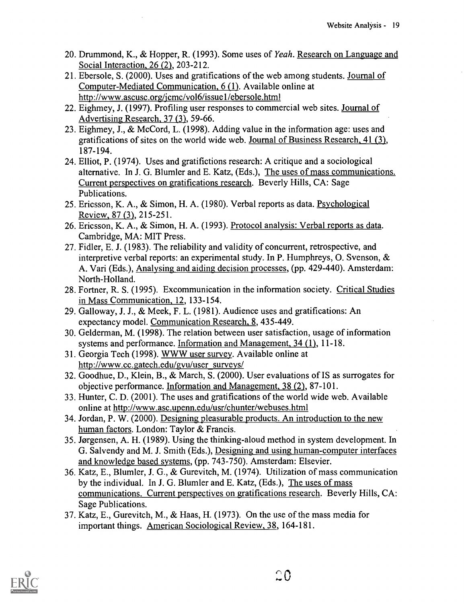- 20. Drummond, K., & Hopper, R. (1993). Some uses of Yeah. Research on Language and Social Interaction, 26 (2), 203-212.
- 21. Ebersole, S. (2000). Uses and gratifications of the web among students. Journal of Computer-Mediated Communication, 6 (1). Available online at http://www.ascusc.org/jcmc/vol6/issue1/ebersole.html
- 22. Eighmey, J. (1997). Profiling user responses to commercial web sites. Journal of Advertising Research, 37 (3), 59-66.
- 23. Eighmey, J., & McCord, L. (1998). Adding value in the information age: uses and gratifications of sites on the world wide web. Journal of Business Research, 41 (3), 187-194.
- 24. Elliot, P. (1974). Uses and gratifictions research: A critique and a sociological alternative. In J. G. Blumler and E. Katz, (Eds.), The uses of mass communications. Current perspectives on gratifications research. Beverly Hills, CA: Sage Publications.
- 25. Ericsson, K. A., & Simon, H. A. (1980). Verbal reports as data. Psychological Review, 87 (3), 215-251.
- 26. Ericsson, K. A., & Simon, H. A. (1993). Protocol analysis: Verbal reports as data. Cambridge, MA: MIT Press.
- 27. Fidler, E. J. (1983). The reliability and validity of concurrent, retrospective, and interpretive verbal reports: an experimental study. In P. Humphreys, 0. Svenson, & A. Vari (Eds.), Analysing and aiding decision processes, (pp. 429-440). Amsterdam: North-Holland.
- 28. Fortner, R. S. (1995). Excommunication in the information society. Critical Studies in Mass Communication, 12, 133-154.
- 29. Galloway, J. J., & Meek, F. L. (1981). Audience uses and gratifications: An expectancy model. Communication Research, 8, 435-449.
- 30. Gelderman, M. (1998). The relation between user satisfaction, usage of information systems and performance. Information and Management, 34 (1), 11-18.
- 31. Georgia Tech (1998). WWW user survey. Available online at http://www.cc.gatech.edulgvu/user surveys/
- 32. Goodhue, D., Klein, B., & March, S. (2000). User evaluations of IS as surrogates for objective performance. Information and Management, 38 (2), 87-101.
- 33. Hunter, C. D. (2001). The uses and gratifications of the world wide web. Available online at http://www.asc.upenn.edu/usr/chunter/webuses.html
- 34. Jordan, P. W. (2000). Designing pleasurable products. An introduction to the new human factors. London: Taylor & Francis.
- 35. Jorgensen, A. H. (1989). Using the thinking-aloud method in system development. In G. Salvendy and M. J. Smith (Eds.), Designing and using human-computer interfaces and knowledge based systems, (pp. 743-750). Amsterdam: Elsevier.
- 36. Katz, E., Blumler, J. G., & Gurevitch, M. (1974). Utilization of mass communication by the individual. In J. G. Blumler and E. Katz, (Eds.), The uses of mass communications. Current perspectives on gratifications research. Beverly Hills, CA: Sage Publications.
- 37. Katz, E., Gurevitch, M., & Haas, H. (1973). On the use of the mass media for important things. American Sociological Review, 38, 164-181.

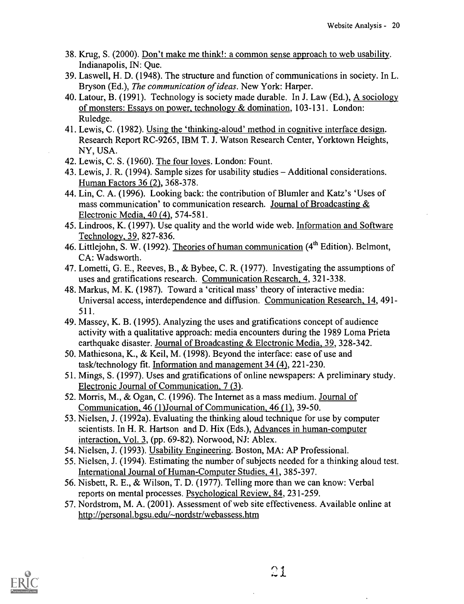- 38. Krug, S. (2000). Don't make me think!: a common sense approach to web usability. Indianapolis, IN: Que.
- 39. Laswell, H. D. (1948). The structure and function of communications in society. In L. Bryson (Ed.), The communication of ideas. New York: Harper.
- 40. Latour, B. (1991). Technology is society made durable. In J. Law (Ed.), A sociology of monsters: Essays on power, technology & domination, 103-131. London: Ruledge.
- 41. Lewis, C. (1982). Using the 'thinking-aloud' method in cognitive interface design. Research Report RC-9265, IBM T. J. Watson Research Center, Yorktown Heights, NY, USA.
- 42. Lewis, C. S. (1960). The four loves. London: Fount.
- 43. Lewis, J. R. (1994). Sample sizes for usability studies Additional considerations. Human Factors 36 (2), 368-378.
- 44. Lin, C. A. (1996). Looking back: the contribution of Blumler and Katz's 'Uses of mass communication' to communication research. Journal of Broadcasting & Electronic Media, 40 (4), 574-581.
- 45. Lindroos, K. (1997). Use quality and the world wide web. Information and Software Technology, 39, 827-836.
- 46. Littlejohn, S. W. (1992). Theories of human communication  $(4<sup>th</sup> Edition)$ . Belmont, CA: Wadsworth.
- 47. Lometti, G. E., Reeves, B., & Bybee, C. R. (1977). Investigating the assumptions of uses and gratifications research. Communication Research, 4, 321-338.
- 48. Markus, M. K. (1987). Toward a 'critical mass' theory of interactive media: Universal access, interdependence and diffusion. Communication Research, 14, 491- 511.
- 49. Massey, K. B. (1995). Analyzing the uses and gratifications concept of audience activity with a qualitative approach: media encounters during the 1989 Loma Prieta earthquake disaster. Journal of Broadcasting & Electronic Media, 39, 328-342.
- 50. Mathiesona, K., & Keil, M. (1998). Beyond the interface: ease of use and task/technology fit. Information and management 34 (4), 221-230.
- 51. Mings, S. (1997). Uses and gratifications of online newspapers: A preliminary study. Electronic Journal of Communication, 7 (3).
- 52. Morris, M., & Ogan, C. (1996). The Internet as a mass medium. Journal of Communication, 46 (1)Journal of Communication, 46 (1), 39-50.
- 53. Nielsen, J. (1992a). Evaluating the thinking aloud technique for use by computer scientists. In H. R. Hartson and D. Hix (Eds.), Advances in human-computer interaction, Vol. 3, (pp. 69-82). Norwood, NJ: Ablex.
- 54. Nielsen, J. (1993). Usability Engineering. Boston, MA: AP Professional.
- 55. Nielsen, J. (1994). Estimating the number of subjects needed for a thinking aloud test. International Journal of Human-Computer Studies, 41, 385-397.
- 56. Nisbett, R. E., & Wilson, T. D. (1977). Telling more than we can know: Verbal reports on mental processes. Psychological Review, 84, 231-259.
- 57. Nordstrom, M. A. (2001). Assessment of web site effectiveness. Available online at http://personal.bgsu.edu/-nordstr/webassess.htm

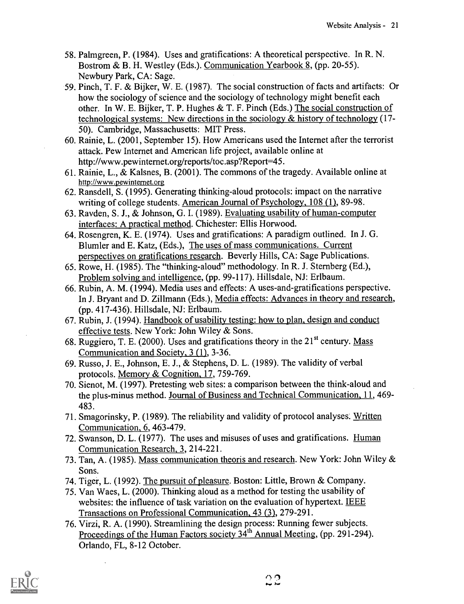- 58. Palmgreen, P. (1984). Uses and gratifications: A theoretical perspective. In R. N. Bostrom & B. H. Westley (Eds.). Communication Yearbook 8, (pp. 20-55). Newbury Park, CA: Sage.
- 59. Pinch, T. F. & Bijker, W. E. (1987). The social construction of facts and artifacts: Or how the sociology of science and the sociology of technology might benefit each other. In W. E. Bijker, T. P. Hughes & T. F. Pinch (Eds.) The social construction of technological systems: New directions in the sociology & history of technology (17- 50). Cambridge, Massachusetts: MIT Press.
- 60. Rainie, L. (2001, September 15). How Americans used the Internet after the terrorist attack. Pew Internet and American life project, available online at http://www.pewinternet.org/reports/toc.asp?Report=45.
- 61. Rainie, L., & Kalsnes, B. (2001). The commons of the tragedy. Available online at http://www.pewinternet.org
- 62. Ransdell, S. (1995). Generating thinking-aloud protocols: impact on the narrative writing of college students. American Journal of Psychology, 108 (1), 89-98.
- 63. Ravden, S. J., & Johnson, G. I. (1989). Evaluating usability of human-computer interfaces: A practical method. Chichester: Ellis Horwood.
- 64. Rosengren, K. E. (1974). Uses and gratifications: A paradigm outlined. In J. G. Blumler and E. Katz, (Eds.), The uses of mass communications. Current perspectives on gratifications research. Beverly Hills, CA: Sage Publications.
- 65. Rowe, H. (1985). The "thinking-aloud" methodology. In R. J. Sternberg (Ed.), Problem solving and intelligence, (pp. 99-117). Hillsdale, NJ: Erlbaum.
- 66. Rubin, A. M. (1994). Media uses and effects: A uses-and-gratifications perspective. In J. Bryant and D. Zillmann (Eds.), Media effects: Advances in theory and research, (pp. 417-436). Hillsdale, NJ: Erlbaum.
- 67. Rubin, J. (1994). Handbook of usability testing: how to plan, design and conduct effective tests. New York: John Wiley & Sons.
- 68. Ruggiero, T. E. (2000). Uses and gratifications theory in the  $21<sup>st</sup>$  century. Mass Communication and Society, 3 (1), 3-36.
- 69. Russo, J. E., Johnson, E. J., & Stephens, D. L. (1989). The validity of verbal protocols. Memory & Cognition, 17, 759-769.
- 70. Sienot, M. (1997). Pretesting web sites: a comparison between the think-aloud and the plus-minus method. Journal of Business and Technical Communication, 11, 469- 483.
- 71. Smagorinsky, P. (1989). The reliability and validity of protocol analyses. Written Communication, 6, 463-479.
- 72. Swanson, D. L. (1977). The uses and misuses of uses and gratifications. Human Communication Research, 3, 214-221.
- 73. Tan, A. (1985). Mass communication theoris and research. New York: John Wiley & Sons.
- 74. Tiger, L. (1992). The pursuit of pleasure. Boston: Little, Brown & Company.
- 75. Van Waes, L. (2000). Thinking aloud as a method for testing the usability of websites: the influence of task variation on the evaluation of hypertext. IEEE Transactions on Professional Communication, 43 (3), 279-291.
- 76. Virzi, R. A. (1990). Streamlining the design process: Running fewer subjects. Proceedings of the Human Factors society 34<sup>th</sup> Annual Meeting, (pp. 291-294). Orlando, FL, 8-12 October.

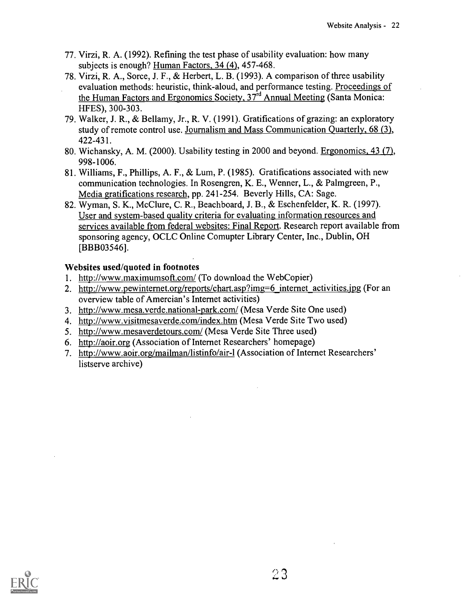- 77. Virzi, R. A. (1992). Refining the test phase of usability evaluation: how many subjects is enough? Human Factors, 34 (4), 457-468.
- 78. Virzi, R. A., Sorce, J. F., & Herbert, L. B. (1993). A comparison of three usability evaluation methods: heuristic, think-aloud, and performance testing. Proceedings of the Human Factors and Ergonomics Society, 37<sup>rd</sup> Annual Meeting (Santa Monica: HFES), 300-303.
- 79. Walker, J. R., & Bellamy, Jr., R. V. (1991). Gratifications of grazing: an exploratory study of remote control use. Journalism and Mass Communication Quarterly, 68 (3), 422-431.
- 80. Wichansky, A. M. (2000). Usability testing in 2000 and beyond. Ergonomics, 43 (7), 998-1006.
- 81. Williams, F., Phillips, A. F., & Lum, P. (1985). Gratifications associated with new communication technologies. In Rosengren, K. E., Wenner, L., & Palmgreen, P., Media gratifications research, pp. 241-254. Beverly Hills, CA: Sage.
- 82. Wyman, S. K., McClure, C. R., Beachboard, J. B., & Eschenfelder, K. R. (1997). User and system-based quality criteria for evaluating information resources and services available from federal websites: Final Report. Research report available from sponsoring agency, OCLC Online Comupter Library Center, Inc., Dublin, OH [BBB03546].

### Websites used/quoted in footnotes

- 1. http://www.maximumsoft.com/ (To download the WebCopier)
- 2. http://www.pewinternet.org/reports/chart.asp?img=6 internet activities.jpg (For an overview table of Amercian's Internet activities)
- 3. http://www.mesa.verde.national-park.com/ (Mesa Verde Site One used)
- 4. http://www.visitmesaverde.com/index.htm (Mesa Verde Site Two used)
- 5. http://www.mesaverdetours.com/ (Mesa Verde Site Three used)
- 6. http://aoir.org (Association of Internet Researchers' homepage)
- 7. http://www.aoir.org/mailman/listinfo/air-1 (Association of Internet Researchers' listserve archive)

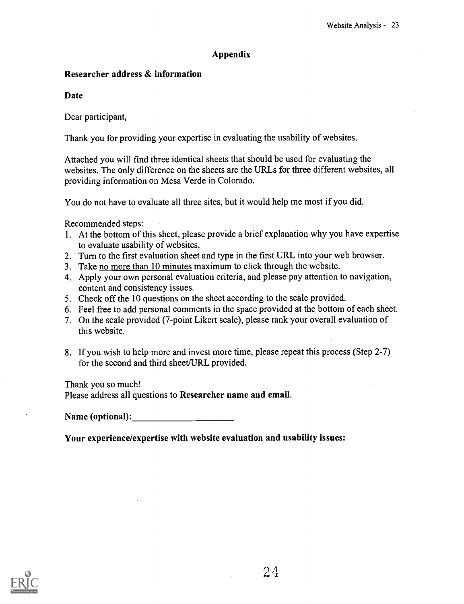### Appendix

### Researcher address & information

Date

Dear participant,

Thank you for providing your expertise in evaluating the usability of websites.

Attached you will find three identical sheets that should be used for evaluating the websites. The only difference on the sheets are the URLs for three different websites, all providing information on Mesa Verde in Colorado.

You do not have to evaluate all three sites, but it would help me most if you did.

Recommended steps:

- 1. At the bottom of this sheet, please provide a brief explanation why you have expertise to evaluate usability of websites.
- 2. Turn to the first evaluation sheet and type in the first URL into your web browser.
- 3. Take no more than 10 minutes maximum to click through the website.
- 4. Apply your own personal evaluation criteria, and please pay attention to navigation, content and consistency issues.
- 5. Check off the 10 questions on the sheet according to the scale provided.
- 6. Feel free to add personal comments in the space provided at the bottom of each sheet.
- 7. On the scale provided (7-point Likert scale), please rank your overall evaluation of this website.
- 8. If you wish to help more and invest more time, please repeat this process (Step 2-7) for the second and third sheet/URL provided.

Thank you so much!

Please address all questions to Researcher name and email.

Name (optional):

Your experience/expertise with website evaluation and usability issues:

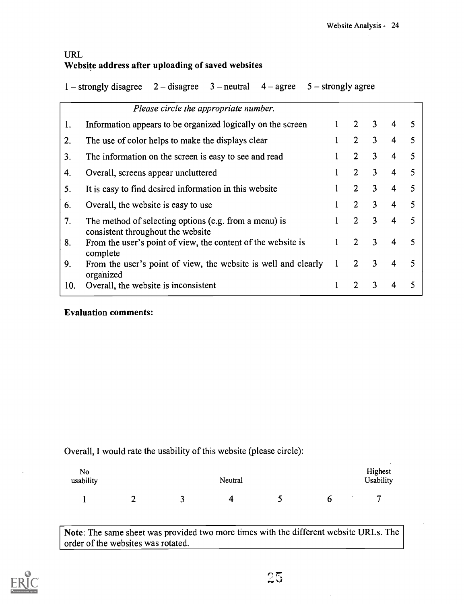### URL Website address after uploading of saved websites

1 – strongly disagree  $2 -$  disagree  $3 -$  neutral  $4 -$  agree  $5 -$  strongly agree

|     | Please circle the appropriate number.                                                      |   |                |   |   |   |
|-----|--------------------------------------------------------------------------------------------|---|----------------|---|---|---|
| 1.  | Information appears to be organized logically on the screen                                |   | $\mathbf{2}$   | 3 | 4 | 5 |
| 2.  | The use of color helps to make the displays clear                                          |   | $\overline{2}$ | 3 | 4 | 5 |
| 3.  | The information on the screen is easy to see and read                                      |   | $\overline{2}$ | 3 | 4 | 5 |
| 4.  | Overall, screens appear uncluttered                                                        |   | $\overline{2}$ | 3 | 4 | 5 |
| 5.  | It is easy to find desired information in this website                                     |   | 2              | 3 | 4 | 5 |
| 6.  | Overall, the website is easy to use                                                        |   | $\overline{2}$ | 3 | 4 | 5 |
| 7.  | The method of selecting options (e.g. from a menu) is<br>consistent throughout the website |   | $\overline{2}$ | 3 | 4 | 5 |
| 8.  | From the user's point of view, the content of the website is<br>complete                   |   | 2              | 3 | 4 | 5 |
| 9.  | From the user's point of view, the website is well and clearly<br>organized                | 1 | $\overline{2}$ | 3 | 4 | 5 |
| 10. | Overall, the website is inconsistent                                                       |   | 2              | 3 |   | 5 |

### Evaluation comments:

Overall, I would rate the usability of this website (please circle):

| No<br>usability |   | Neutral |   |  |  |  | Highest<br><b>Usability</b> |  |
|-----------------|---|---------|---|--|--|--|-----------------------------|--|
|                 | ◠ | ∼<br>-  | Δ |  |  |  | −                           |  |

Note: The same sheet was provided two more times with the different website URLs. The order of the websites was rotated.

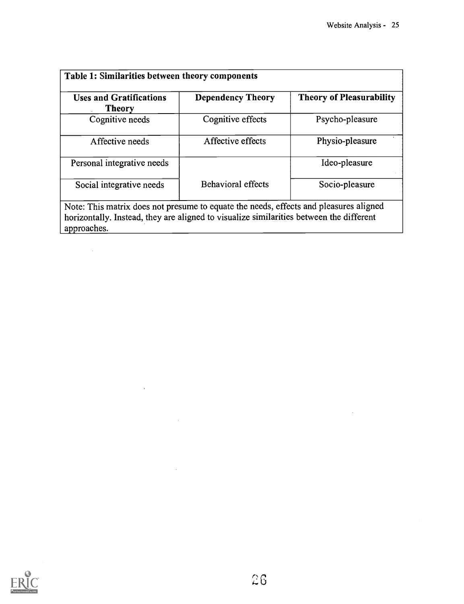$\sim 10^{-1}$ 

| <b>Uses and Gratifications</b><br><b>Theory</b>                                                                                                                                                 | <b>Dependency Theory</b>  | <b>Theory of Pleasurability</b> |
|-------------------------------------------------------------------------------------------------------------------------------------------------------------------------------------------------|---------------------------|---------------------------------|
| Cognitive needs                                                                                                                                                                                 | Cognitive effects         | Psycho-pleasure                 |
| Affective needs                                                                                                                                                                                 | Affective effects         | Physio-pleasure                 |
| Personal integrative needs                                                                                                                                                                      |                           | Ideo-pleasure                   |
| Social integrative needs                                                                                                                                                                        | <b>Behavioral effects</b> | Socio-pleasure                  |
| Note: This matrix does not presume to equate the needs, effects and pleasures aligned<br>horizontally. Instead, they are aligned to visualize similarities between the different<br>approaches. |                           |                                 |



 $\mathcal{L}^{\text{max}}_{\text{max}}$ 

 $\sim$   $\sim$ 

 $\mathcal{L}_{\mathcal{A}}$ 

 $\sim 10^{-11}$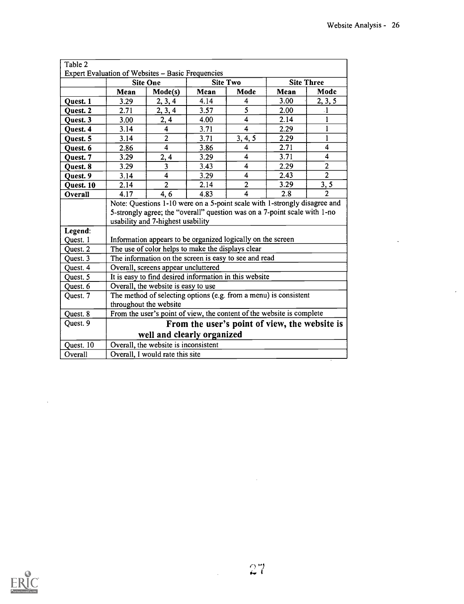$\mathbf{r}$ 

| Table 2   |                                                                           |                                                                       |      |                                               |      |                |  |  |
|-----------|---------------------------------------------------------------------------|-----------------------------------------------------------------------|------|-----------------------------------------------|------|----------------|--|--|
|           | <b>Expert Evaluation of Websites - Basic Frequencies</b>                  |                                                                       |      |                                               |      |                |  |  |
|           | <b>Site Two</b><br><b>Site Three</b><br><b>Site One</b>                   |                                                                       |      |                                               |      |                |  |  |
|           | Mean                                                                      | Mode(s)                                                               | Mean | Mode                                          | Mean | Mode           |  |  |
| Quest. 1  | 3.29                                                                      | 2, 3, 4                                                               | 4.14 | 4                                             | 3.00 | 2, 3, 5        |  |  |
| Quest. 2  | 2.71                                                                      | 2, 3, 4                                                               | 3.57 | 5                                             | 2.00 | $\cdot$ 1      |  |  |
| Quest. 3  | 3.00                                                                      | 2,4                                                                   | 4.00 | 4                                             | 2.14 | 1              |  |  |
| Quest. 4  | 3.14                                                                      | $\overline{\mathbf{4}}$                                               | 3.71 | $\overline{\mathbf{4}}$                       | 2.29 | $\mathbf{1}$   |  |  |
| Quest. 5  | 3.14                                                                      | $\overline{2}$                                                        | 3.71 | 3, 4, 5                                       | 2.29 | 1              |  |  |
| Quest. 6  | 2.86                                                                      | $\overline{\mathbf{4}}$                                               | 3.86 | 4                                             | 2.71 | $\overline{4}$ |  |  |
| Quest. 7  | 3.29                                                                      | 2, 4                                                                  | 3.29 | 4                                             | 3.71 | 4              |  |  |
| Quest. 8  | 3.29                                                                      | 3                                                                     | 3.43 | 4                                             | 2.29 | $\mathbf{2}$   |  |  |
| Quest. 9  | 3.14                                                                      | $\overline{\mathbf{4}}$                                               | 3.29 | $\overline{\mathbf{4}}$                       | 2.43 | $\overline{2}$ |  |  |
| Quest. 10 | 2.14                                                                      | $\overline{2}$                                                        | 2.14 | $\overline{2}$                                | 3.29 | 3, 5           |  |  |
| Overall   | 4.17                                                                      | 4, 6                                                                  | 4.83 | 4                                             | 2.8  | $\overline{2}$ |  |  |
|           | Note: Questions 1-10 were on a 5-point scale with 1-strongly disagree and |                                                                       |      |                                               |      |                |  |  |
|           | 5-strongly agree; the "overall" question was on a 7-point scale with 1-no |                                                                       |      |                                               |      |                |  |  |
|           | usability and 7-highest usability                                         |                                                                       |      |                                               |      |                |  |  |
| Legend:   |                                                                           |                                                                       |      |                                               |      |                |  |  |
| Quest. 1  |                                                                           | Information appears to be organized logically on the screen           |      |                                               |      |                |  |  |
| Quest. 2  |                                                                           | The use of color helps to make the displays clear                     |      |                                               |      |                |  |  |
| Quest. 3  |                                                                           | The information on the screen is easy to see and read                 |      |                                               |      |                |  |  |
| Quest. 4  |                                                                           | Overall, screens appear uncluttered                                   |      |                                               |      |                |  |  |
| Quest. 5  |                                                                           | It is easy to find desired information in this website                |      |                                               |      |                |  |  |
| Quest. 6  |                                                                           | Overall, the website is easy to use                                   |      |                                               |      |                |  |  |
| Quest. 7  |                                                                           | The method of selecting options (e.g. from a menu) is consistent      |      |                                               |      |                |  |  |
|           | throughout the website                                                    |                                                                       |      |                                               |      |                |  |  |
| Quest. 8  |                                                                           | From the user's point of view, the content of the website is complete |      |                                               |      |                |  |  |
| Quest. 9  |                                                                           |                                                                       |      | From the user's point of view, the website is |      |                |  |  |
|           |                                                                           | well and clearly organized                                            |      |                                               |      |                |  |  |
| Quest. 10 |                                                                           | Overall, the website is inconsistent                                  |      |                                               |      |                |  |  |
| Overall   | Overall, I would rate this site                                           |                                                                       |      |                                               |      |                |  |  |



 $\bar{z}$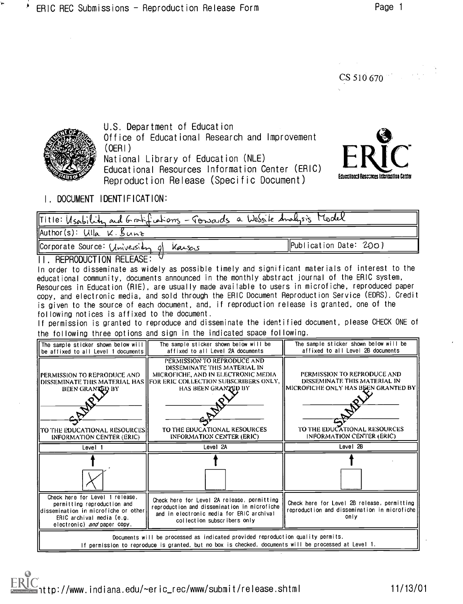CS 510 670



U.S. Department of Education Office of Educational Research and Improvement (OERI) National Library of Education (NLE) Educational Resources Information Center (ERIC)

Reproduction Release (Specific Document)



I. DOCUMENT IDENTIFICATION:

| Title: Usability and Gratifiations - Jonards a Wessite Analysis Model |                         |
|-----------------------------------------------------------------------|-------------------------|
| Author(s): $UIIa \times Bunz$                                         |                         |
| Corporate Source: University of Karsens                               | [Publication Date: 200] |

### II. REPRODUCTION RELEASE:

In order to disseminate as widely as possible timely and significant materials of interest to the educational community, documents announced in the monthly abstract journal of the ERIC system, Resources in Education (RIE), are usually made available to users in microfiche, reproduced paper copy, and electronic media, and sold through the ERIC Document Reproduction Service (EDRS). Credit is given to the source of each document, and, if reproduction release is granted, one of the following notices is affixed to the document.

If permission is granted to reproduce and disseminate the identified document, please CHECK ONE of the following three options and sign in the indicated space following.

| The sample sticker shown below will<br>be affixed to all Level 1 documents                                                                                                               | The sample sticker shown below will be<br>affixed to all Level 2A documents                                                                                                                                                                                            | The sample sticker shown below will be<br>affixed to all Level 2B documents                                                                                     |  |  |  |
|------------------------------------------------------------------------------------------------------------------------------------------------------------------------------------------|------------------------------------------------------------------------------------------------------------------------------------------------------------------------------------------------------------------------------------------------------------------------|-----------------------------------------------------------------------------------------------------------------------------------------------------------------|--|--|--|
| <b>[PERMISSION TO REPRODUCE AND</b><br>BEEN GRANTED BY<br>lito the educational resources!                                                                                                | PERMISSION TO REPRODUCE AND<br>DISSEMINATE THIS MATERIAL IN<br>MICROFICHE, AND IN ELECTRONIC MEDIA.<br>DISSEMINATE THIS MATERIAL HAS HFOR ERIC COLLECTION SUBSCRIBERS ONLY.<br>HAS BEEN GRANTED BY<br>TO THE EDUCATIONAL RESOURCES<br><b>INFORMATION CENTER (ERIC)</b> | PERMISSION TO REPRODUCE AND<br>DISSEMINATE THIS MATERIAL IN<br>MICROFICHE ONLY HAS BEEN GRANTED BY<br>TO THE EDUCATIONAL RESOURCES<br>INFORMATION CENTER (ERIC) |  |  |  |
| INFORMATION CENTER (ERIC)<br>Level 1                                                                                                                                                     | Level 2A                                                                                                                                                                                                                                                               | Level 28                                                                                                                                                        |  |  |  |
|                                                                                                                                                                                          |                                                                                                                                                                                                                                                                        |                                                                                                                                                                 |  |  |  |
| Check here for Level 1 release,<br>permitting reproduction and<br>lldissemination in microfiche or other<br>ERIC archival media (e.g.<br>electronic) and paper copy.                     | Check here for Level 2A release, permitting<br>reproduction and dissemination in microfiche<br>and in electronic media for ERIC archival<br>collection subscribers only                                                                                                | Check here for Level 2B release, permitting<br>reproduction and dissemination in microfiche<br>only                                                             |  |  |  |
| Documents will be processed as indicated provided reproduction quality permits.<br>If permission to reproduce is granted, but no box is checked, documents will be processed at Level 1. |                                                                                                                                                                                                                                                                        |                                                                                                                                                                 |  |  |  |